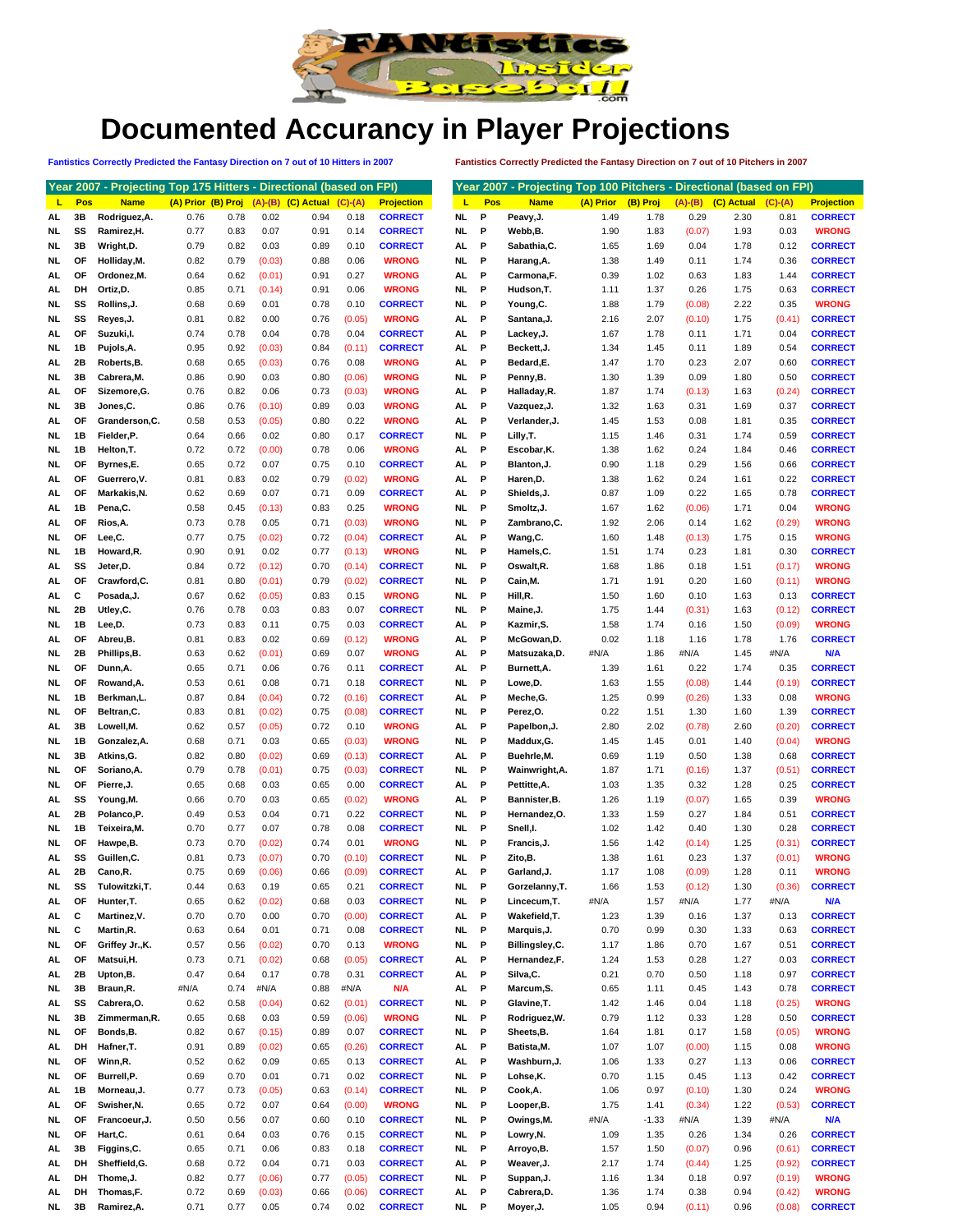

## **Documented Accurancy in Player Projections**

**Fantistics Correctly Predicted the Fantasy Direction on 7 out of 10 Hitters in 2007 Fantistics Correctly Predicted the Fantasy Direction on 7 out of 10 Pitchers in 2007**

|     |     | Year 2007 - Projecting Top 175 Hitters - Directional (based on FPI) |                    |      |        |                                          |        |                   |           |      |     | Year 2007 - Projecting Top 100 Pitchers - Directional (based on FPI) |           |          |           |            |           |                   |
|-----|-----|---------------------------------------------------------------------|--------------------|------|--------|------------------------------------------|--------|-------------------|-----------|------|-----|----------------------------------------------------------------------|-----------|----------|-----------|------------|-----------|-------------------|
| L.  | Pos | <b>Name</b>                                                         | (A) Prior (B) Proj |      |        | $(A)$ - $(B)$ $(C)$ Actual $(C)$ - $(A)$ |        | <b>Projection</b> |           | Ш    | Pos | <b>Name</b>                                                          | (A) Prior | (B) Proj | $(A)-(B)$ | (C) Actual | $(C)-(A)$ | <b>Projection</b> |
| AL  | 3В  | Rodriguez, A.                                                       | 0.76               | 0.78 | 0.02   | 0.94                                     | 0.18   | <b>CORRECT</b>    | NL.       |      | P   | Peavy, J.                                                            | 1.49      | 1.78     | 0.29      | 2.30       | 0.81      | <b>CORRECT</b>    |
| NL  | SS  | Ramirez, H.                                                         | 0.77               | 0.83 | 0.07   | 0.91                                     | 0.14   | <b>CORRECT</b>    | NL.       |      | P   | Webb,B.                                                              | 1.90      | 1.83     | (0.07)    | 1.93       | 0.03      | <b>WRONG</b>      |
| NL  | 3B  | Wright, D.                                                          | 0.79               | 0.82 | 0.03   | 0.89                                     | 0.10   | <b>CORRECT</b>    | AL.       |      | P   | Sabathia, C.                                                         | 1.65      | 1.69     | 0.04      | 1.78       | 0.12      | <b>CORRECT</b>    |
| NL  | ОF  | Holliday, M.                                                        | 0.82               | 0.79 | (0.03) | 0.88                                     | 0.06   | <b>WRONG</b>      | NL.       |      | P   | Harang, A.                                                           | 1.38      | 1.49     | 0.11      | 1.74       | 0.36      | <b>CORRECT</b>    |
| AL  | ΟF  | Ordonez, M.                                                         | 0.64               | 0.62 | (0.01) | 0.91                                     | 0.27   | <b>WRONG</b>      | AL        |      | P   | Carmona,F.                                                           | 0.39      | 1.02     | 0.63      | 1.83       | 1.44      | <b>CORRECT</b>    |
| AL  | DH  | Ortiz, D.                                                           | 0.85               | 0.71 | (0.14) | 0.91                                     | 0.06   | <b>WRONG</b>      | NL.       |      | P   | Hudson, T.                                                           | 1.11      | 1.37     | 0.26      | 1.75       | 0.63      | <b>CORRECT</b>    |
| NL  | SS  | Rollins, J.                                                         | 0.68               | 0.69 | 0.01   | 0.78                                     | 0.10   | <b>CORRECT</b>    | NL        |      | P   | Young, C.                                                            | 1.88      | 1.79     | (0.08)    | 2.22       | 0.35      | <b>WRONG</b>      |
| NL  | SS  | Reyes, J.                                                           | 0.81               | 0.82 | 0.00   | 0.76                                     | (0.05) | <b>WRONG</b>      | AL        |      | P   | Santana, J.                                                          | 2.16      | 2.07     | (0.10)    | 1.75       | (0.41)    | <b>CORRECT</b>    |
|     |     |                                                                     |                    |      |        |                                          |        |                   |           |      | P   |                                                                      |           |          |           |            |           |                   |
| AL  | ΟF  | Suzuki, I.                                                          | 0.74               | 0.78 | 0.04   | 0.78                                     | 0.04   | <b>CORRECT</b>    | AL        |      |     | Lackey, J.                                                           | 1.67      | 1.78     | 0.11      | 1.71       | 0.04      | <b>CORRECT</b>    |
| NL  | 1B  | Pujols, A.                                                          | 0.95               | 0.92 | (0.03) | 0.84                                     | (0.11) | <b>CORRECT</b>    | AL.       |      | P   | Beckett, J.                                                          | 1.34      | 1.45     | 0.11      | 1.89       | 0.54      | <b>CORRECT</b>    |
| AL  | 2Β  | Roberts, B.                                                         | 0.68               | 0.65 | (0.03) | 0.76                                     | 0.08   | <b>WRONG</b>      | AL        |      | P   | Bedard,E.                                                            | 1.47      | 1.70     | 0.23      | 2.07       | 0.60      | <b>CORRECT</b>    |
| NL  | 3B  | Cabrera, M.                                                         | 0.86               | 0.90 | 0.03   | 0.80                                     | (0.06) | <b>WRONG</b>      | NL.       |      | P   | Penny,B.                                                             | 1.30      | 1.39     | 0.09      | 1.80       | 0.50      | <b>CORRECT</b>    |
| AL  | ΟF  | Sizemore, G.                                                        | 0.76               | 0.82 | 0.06   | 0.73                                     | (0.03) | <b>WRONG</b>      | AL        |      | P   | Halladay, R.                                                         | 1.87      | 1.74     | (0.13)    | 1.63       | (0.24)    | <b>CORRECT</b>    |
| NL  | 3B  | Jones,C.                                                            | 0.86               | 0.76 | (0.10) | 0.89                                     | 0.03   | <b>WRONG</b>      | AL        |      | P   | Vazquez, J.                                                          | 1.32      | 1.63     | 0.31      | 1.69       | 0.37      | <b>CORRECT</b>    |
| AL  | ΟF  | Granderson, C.                                                      | 0.58               | 0.53 | (0.05) | 0.80                                     | 0.22   | <b>WRONG</b>      | AL        |      | P   | Verlander, J.                                                        | 1.45      | 1.53     | 0.08      | 1.81       | 0.35      | <b>CORRECT</b>    |
| NL  | 1В  | Fielder, P.                                                         | 0.64               | 0.66 | 0.02   | 0.80                                     | 0.17   | <b>CORRECT</b>    | <b>NL</b> |      | P   | Lilly, T.                                                            | 1.15      | 1.46     | 0.31      | 1.74       | 0.59      | <b>CORRECT</b>    |
| NL  | 1В  | Helton, T.                                                          | 0.72               | 0.72 | (0.00) | 0.78                                     | 0.06   | <b>WRONG</b>      | AL        |      | P   | Escobar, K.                                                          | 1.38      | 1.62     | 0.24      | 1.84       | 0.46      | <b>CORRECT</b>    |
| NL  | ОF  | Byrnes,E.                                                           | 0.65               | 0.72 | 0.07   | 0.75                                     | 0.10   | <b>CORRECT</b>    | AL.       |      | P   | Blanton, J.                                                          | 0.90      | 1.18     | 0.29      | 1.56       | 0.66      | <b>CORRECT</b>    |
| AL  | ОF  | Guerrero, V.                                                        | 0.81               | 0.83 | 0.02   | 0.79                                     | (0.02) | <b>WRONG</b>      | AL        |      | P   | Haren, D.                                                            | 1.38      | 1.62     | 0.24      | 1.61       | 0.22      | <b>CORRECT</b>    |
| AL  | ΟF  | Markakis, N.                                                        | 0.62               | 0.69 | 0.07   | 0.71                                     | 0.09   | <b>CORRECT</b>    | AL.       |      | P   | Shields, J.                                                          | 0.87      | 1.09     | 0.22      | 1.65       | 0.78      | <b>CORRECT</b>    |
| AL  | 1В  | Pena,C.                                                             | 0.58               | 0.45 | (0.13) | 0.83                                     | 0.25   | <b>WRONG</b>      | NL        |      | P   | Smoltz, J.                                                           | 1.67      | 1.62     | (0.06)    | 1.71       | 0.04      | <b>WRONG</b>      |
|     |     |                                                                     |                    |      |        |                                          |        |                   |           |      |     |                                                                      |           |          |           |            |           |                   |
| AL  | ОF  | Rios, A.                                                            | 0.73               | 0.78 | 0.05   | 0.71                                     | (0.03) | <b>WRONG</b>      | NL.       |      | P   | Zambrano, C.                                                         | 1.92      | 2.06     | 0.14      | 1.62       | (0.29)    | <b>WRONG</b>      |
| NL  | ΟF  | Lee,C.                                                              | 0.77               | 0.75 | (0.02) | 0.72                                     | (0.04) | <b>CORRECT</b>    | AL        |      | P   | Wang,C.                                                              | 1.60      | 1.48     | (0.13)    | 1.75       | 0.15      | <b>WRONG</b>      |
| NL  | 1В  | Howard, R.                                                          | 0.90               | 0.91 | 0.02   | 0.77                                     | (0.13) | <b>WRONG</b>      | NL.       |      | P   | Hamels, C.                                                           | 1.51      | 1.74     | 0.23      | 1.81       | 0.30      | <b>CORRECT</b>    |
| AL  | SS  | Jeter,D.                                                            | 0.84               | 0.72 | (0.12) | 0.70                                     | (0.14) | <b>CORRECT</b>    | NL.       |      | P   | Oswalt, R.                                                           | 1.68      | 1.86     | 0.18      | 1.51       | (0.17)    | <b>WRONG</b>      |
| AL  | ΟF  | Crawford,C.                                                         | 0.81               | 0.80 | (0.01) | 0.79                                     | (0.02) | <b>CORRECT</b>    | NL.       |      | P   | Cain, M.                                                             | 1.71      | 1.91     | 0.20      | 1.60       | (0.11)    | <b>WRONG</b>      |
| AL  | С   | Posada, J.                                                          | 0.67               | 0.62 | (0.05) | 0.83                                     | 0.15   | <b>WRONG</b>      | NL.       |      | P   | Hill,R.                                                              | 1.50      | 1.60     | 0.10      | 1.63       | 0.13      | <b>CORRECT</b>    |
| NL  | 2Β  | Utley, C.                                                           | 0.76               | 0.78 | 0.03   | 0.83                                     | 0.07   | <b>CORRECT</b>    | NL.       |      | P   | Maine, J.                                                            | 1.75      | 1.44     | (0.31)    | 1.63       | (0.12)    | <b>CORRECT</b>    |
| NL  | 1B  | Lee,D.                                                              | 0.73               | 0.83 | 0.11   | 0.75                                     | 0.03   | <b>CORRECT</b>    | AL        |      | P   | Kazmir, S.                                                           | 1.58      | 1.74     | 0.16      | 1.50       | (0.09)    | <b>WRONG</b>      |
| AL  | ΟF  | Abreu,B.                                                            | 0.81               | 0.83 | 0.02   | 0.69                                     | (0.12) | <b>WRONG</b>      | AL        |      | P   | McGowan, D.                                                          | 0.02      | 1.18     | 1.16      | 1.78       | 1.76      | <b>CORRECT</b>    |
| NL  | 2Β  | Phillips, B.                                                        | 0.63               | 0.62 | (0.01) | 0.69                                     | 0.07   | <b>WRONG</b>      | AL        |      | P   | Matsuzaka, D.                                                        | #N/A      | 1.86     | #N/A      | 1.45       | #N/A      | N/A               |
| NL  | ΟF  | Dunn, A.                                                            | 0.65               | 0.71 | 0.06   | 0.76                                     | 0.11   | <b>CORRECT</b>    | AL        |      | P   | Burnett, A.                                                          | 1.39      | 1.61     | 0.22      | 1.74       | 0.35      | <b>CORRECT</b>    |
| NL  | ΟF  | Rowand, A.                                                          | 0.53               | 0.61 | 0.08   | 0.71                                     | 0.18   | <b>CORRECT</b>    | NL.       |      | P   | Lowe,D.                                                              | 1.63      | 1.55     | (0.08)    | 1.44       | (0.19)    | <b>CORRECT</b>    |
| NL  | 1В  | Berkman,L.                                                          | 0.87               | 0.84 | (0.04) | 0.72                                     | (0.16) | <b>CORRECT</b>    | AL.       |      | P   | Meche, G.                                                            | 1.25      | 0.99     | (0.26)    | 1.33       | 0.08      | <b>WRONG</b>      |
| NL  | ΟF  | Beltran,C.                                                          | 0.83               | 0.81 | (0.02) | 0.75                                     | (0.08) | <b>CORRECT</b>    | NL.       |      | P   | Perez,O.                                                             | 0.22      | 1.51     | 1.30      | 1.60       | 1.39      | <b>CORRECT</b>    |
| AL  | 3В  | Lowell, M.                                                          | 0.62               |      | (0.05) | 0.72                                     | 0.10   | <b>WRONG</b>      | AL        |      | P   | Papelbon, J.                                                         | 2.80      | 2.02     | (0.78)    | 2.60       | (0.20)    | <b>CORRECT</b>    |
|     |     |                                                                     |                    | 0.57 |        |                                          |        |                   |           |      |     |                                                                      |           |          |           |            |           |                   |
| NL  | 1В  | Gonzalez, A.                                                        | 0.68               | 0.71 | 0.03   | 0.65                                     | (0.03) | <b>WRONG</b>      | NL.       |      | P   | Maddux, G.                                                           | 1.45      | 1.45     | 0.01      | 1.40       | (0.04)    | <b>WRONG</b>      |
| NL  | 3В  | Atkins, G.                                                          | 0.82               | 0.80 | (0.02) | 0.69                                     | (0.13) | <b>CORRECT</b>    | AL        |      | P   | Buehrle, M.                                                          | 0.69      | 1.19     | 0.50      | 1.38       | 0.68      | <b>CORRECT</b>    |
| NL  | ΟF  | Soriano, A.                                                         | 0.79               | 0.78 | (0.01) | 0.75                                     | (0.03) | <b>CORRECT</b>    | NL.       |      | P   | Wainwright, A.                                                       | 1.87      | 1.71     | (0.16)    | 1.37       | (0.51)    | <b>CORRECT</b>    |
| NL  | ΟF  | Pierre, J.                                                          | 0.65               | 0.68 | 0.03   | 0.65                                     | 0.00   | <b>CORRECT</b>    | AL        |      | P   | Pettitte, A.                                                         | 1.03      | 1.35     | 0.32      | 1.28       | 0.25      | <b>CORRECT</b>    |
| AL  | SS  | Young, M.                                                           | 0.66               | 0.70 | 0.03   | 0.65                                     | (0.02) | <b>WRONG</b>      | AL        |      | P   | Bannister, B.                                                        | 1.26      | 1.19     | (0.07)    | 1.65       | 0.39      | <b>WRONG</b>      |
| AL  | 2Β  | Polanco.P.                                                          | 0.49               | 0.53 | 0.04   | 0.71                                     | 0.22   | <b>CORRECT</b>    | NL.       |      | P   | Hernandez, O.                                                        | 1.33      | 1.59     | 0.27      | 1.84       | 0.51      | <b>CORRECT</b>    |
| NL  | 1B  | Teixeira, M.                                                        | 0.70               | 0.77 | 0.07   | 0.78                                     | 0.08   | <b>CORRECT</b>    | NL        |      | P   | Snell,l.                                                             | 1.02      | 1.42     | 0.40      | 1.30       | 0.28      | <b>CORRECT</b>    |
| NL  | ΟF  | Hawpe, B.                                                           | 0.73               | 0.70 | (0.02) | 0.74                                     | 0.01   | <b>WRONG</b>      | NL.       |      | P   | Francis, J.                                                          | 1.56      | 1.42     | (0.14)    | 1.25       | (0.31)    | <b>CORRECT</b>    |
| AL  | SS  | Guillen, C.                                                         | 0.81               | 0.73 | (0.07) | 0.70                                     | (0.10) | <b>CORRECT</b>    | NL.       |      | P   | Zito, B.                                                             | 1.38      | 1.61     | 0.23      | 1.37       | (0.01)    | <b>WRONG</b>      |
| AL. | 2В  | Cano, R.                                                            | 0.75               | 0.69 | (0.06) | 0.66                                     | (0.09) | <b>CORRECT</b>    | AL.       |      | P   | Garland, J.                                                          | 1.17      | 1.08     | (0.09)    | 1.28       | 0.11      | <b>WRONG</b>      |
| NL  | SS  | Tulowitzki, T.                                                      | 0.44               | 0.63 | 0.19   | 0.65                                     | 0.21   | <b>CORRECT</b>    | NL        |      | P   | Gorzelanny, T.                                                       | 1.66      | 1.53     | (0.12)    | 1.30       | (0.36)    | <b>CORRECT</b>    |
| AL  | OF  | Hunter, T.                                                          | 0.65               | 0.62 | (0.02) | 0.68                                     | 0.03   | <b>CORRECT</b>    | NL        |      | P   | Lincecum, T.                                                         | #N/A      | 1.57     | #N/A      | 1.77       | #N/A      | <b>N/A</b>        |
| AL  | c   | Martinez, V.                                                        | 0.70               | 0.70 | 0.00   | 0.70                                     | (0.00) | <b>CORRECT</b>    | AL        |      | P   | Wakefield, T.                                                        | 1.23      | 1.39     | 0.16      | 1.37       | 0.13      | <b>CORRECT</b>    |
| NL. | c   | Martin, R.                                                          | 0.63               | 0.64 | 0.01   | 0.71                                     | 0.08   | <b>CORRECT</b>    | <b>NL</b> |      | P   | Marquis, J.                                                          | 0.70      | 0.99     | 0.30      | 1.33       | 0.63      | <b>CORRECT</b>    |
| NL  | ΟF  | Griffey Jr., K.                                                     | 0.57               | 0.56 | (0.02) | 0.70                                     | 0.13   | <b>WRONG</b>      | <b>NL</b> |      | P   | Billingsley, C.                                                      | 1.17      | 1.86     | 0.70      | 1.67       | 0.51      | <b>CORRECT</b>    |
| AL  | ОF  | Matsui, H.                                                          | 0.73               | 0.71 | (0.02) | 0.68                                     | (0.05) | <b>CORRECT</b>    | AL        |      | P   | Hernandez, F.                                                        | 1.24      | 1.53     | 0.28      | 1.27       | 0.03      | <b>CORRECT</b>    |
| AL  | 2B  | Upton,B.                                                            | 0.47               | 0.64 | 0.17   | 0.78                                     | 0.31   | <b>CORRECT</b>    | AL        |      | P   | Silva, C.                                                            | 0.21      | 0.70     | 0.50      | 1.18       | 0.97      | <b>CORRECT</b>    |
| NL  | 3B  | Braun, R.                                                           | #N/A               | 0.74 | #N/A   | 0.88                                     | #N/A   | N/A               | AL        |      | P   | Marcum, S.                                                           | 0.65      | 1.11     | 0.45      | 1.43       | 0.78      | <b>CORRECT</b>    |
|     | SS  | Cabrera, O.                                                         |                    |      |        |                                          |        | <b>CORRECT</b>    | NL        |      | P   | Glavine, T.                                                          |           |          |           |            |           |                   |
| AL. |     |                                                                     | 0.62               | 0.58 | (0.04) | 0.62                                     | (0.01) |                   |           |      |     |                                                                      | 1.42      | 1.46     | 0.04      | 1.18       | (0.25)    | <b>WRONG</b>      |
| NL  | 3B  | Zimmerman, R.                                                       | 0.65               | 0.68 | 0.03   | 0.59                                     | (0.06) | <b>WRONG</b>      | NL        |      | P   | Rodriguez, W.                                                        | 0.79      | 1.12     | 0.33      | 1.28       | 0.50      | <b>CORRECT</b>    |
| NL  | ΟF  | Bonds, B.                                                           | 0.82               | 0.67 | (0.15) | 0.89                                     | 0.07   | <b>CORRECT</b>    | NL        |      | P   | Sheets, B.                                                           | 1.64      | 1.81     | 0.17      | 1.58       | (0.05)    | <b>WRONG</b>      |
| AL  | DH  | Hafner, T.                                                          | 0.91               | 0.89 | (0.02) | 0.65                                     | (0.26) | <b>CORRECT</b>    | AL        |      | P   | Batista, M.                                                          | 1.07      | 1.07     | (0.00)    | 1.15       | 0.08      | <b>WRONG</b>      |
| NL  | ΟF  | Winn,R.                                                             | 0.52               | 0.62 | 0.09   | 0.65                                     | 0.13   | <b>CORRECT</b>    | <b>AL</b> |      | P   | Washburn, J.                                                         | 1.06      | 1.33     | 0.27      | 1.13       | 0.06      | <b>CORRECT</b>    |
| NL  | OF  | Burrell,P.                                                          | 0.69               | 0.70 | 0.01   | 0.71                                     | 0.02   | <b>CORRECT</b>    | <b>NL</b> |      | P   | Lohse,K.                                                             | 0.70      | 1.15     | 0.45      | 1.13       | 0.42      | <b>CORRECT</b>    |
| AL. | 1B  | Morneau, J.                                                         | 0.77               | 0.73 | (0.05) | 0.63                                     | (0.14) | <b>CORRECT</b>    | NL        |      | P   | Cook, A.                                                             | 1.06      | 0.97     | (0.10)    | 1.30       | 0.24      | <b>WRONG</b>      |
| AL  | ΟF  | Swisher, N.                                                         | 0.65               | 0.72 | 0.07   | 0.64                                     | (0.00) | <b>WRONG</b>      | NL        |      | P   | Looper, B.                                                           | 1.75      | 1.41     | (0.34)    | 1.22       | (0.53)    | <b>CORRECT</b>    |
| NL  | ΟF  | Francoeur, J.                                                       | 0.50               | 0.56 | 0.07   | 0.60                                     | 0.10   | <b>CORRECT</b>    | NL        |      | P   | Owings, M.                                                           | #N/A      | $-1.33$  | #N/A      | 1.39       | #N/A      | <b>N/A</b>        |
| NL. | ΟF  | Hart, C.                                                            | 0.61               | 0.64 | 0.03   | 0.76                                     | 0.15   | <b>CORRECT</b>    | NL        |      | P   | Lowry, N.                                                            | 1.09      | 1.35     | 0.26      | 1.34       | 0.26      | <b>CORRECT</b>    |
| AL. | 3B  | Figgins, C.                                                         | 0.65               | 0.71 | 0.06   | 0.83                                     | 0.18   | <b>CORRECT</b>    | NL.       |      | P   | Arroyo, B.                                                           | 1.57      | 1.50     | (0.07)    | 0.96       | (0.61)    | <b>CORRECT</b>    |
| AL  | DH  | Sheffield, G.                                                       | 0.68               | 0.72 | 0.04   | 0.71                                     | 0.03   | <b>CORRECT</b>    | AL        |      | P   | Weaver, J.                                                           | 2.17      | 1.74     | (0.44)    | 1.25       | (0.92)    | <b>CORRECT</b>    |
| AL  | DH  | Thome, J.                                                           | 0.82               | 0.77 | (0.06) | 0.77                                     | (0.05) | <b>CORRECT</b>    | NL        |      | P   | Suppan, J.                                                           | 1.16      | 1.34     | 0.18      | 0.97       | (0.19)    | <b>WRONG</b>      |
| AL. | DH  | Thomas,F.                                                           | 0.72               | 0.69 | (0.03) | 0.66                                     | (0.06) | <b>CORRECT</b>    | AL        |      | P   | Cabrera, D.                                                          | 1.36      | 1.74     | 0.38      | 0.94       | (0.42)    | <b>WRONG</b>      |
| NL. | 3B  | Ramirez, A.                                                         | 0.71               | 0.77 | 0.05   | 0.74                                     | 0.02   | <b>CORRECT</b>    |           | NL P |     | Moyer, J.                                                            | 1.05      | 0.94     | (0.11)    | 0.96       | (0.08)    | <b>CORRECT</b>    |
|     |     |                                                                     |                    |      |        |                                          |        |                   |           |      |     |                                                                      |           |          |           |            |           |                   |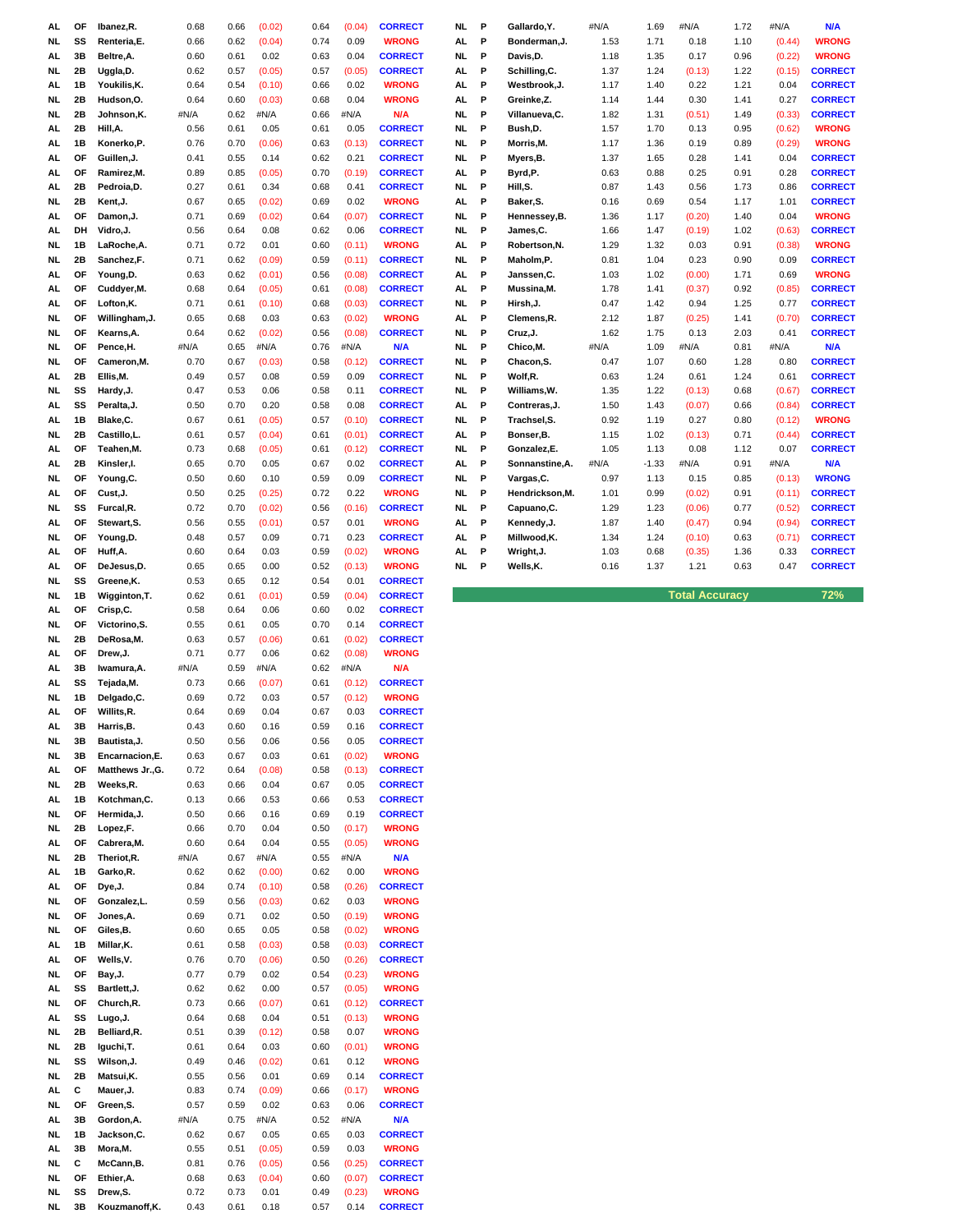| AL        | ОF | Ibanez, R.       | 0.68 | 0.66 | (0.02) | 0.64 | (0.04) | <b>CORRECT</b> | NL.       | P | Gallardo, Y.          | #N/A | 1.69    | #N/A                  | 1.72 | #N/A   | N/A            |
|-----------|----|------------------|------|------|--------|------|--------|----------------|-----------|---|-----------------------|------|---------|-----------------------|------|--------|----------------|
| NL.       | SS | Renteria, E.     | 0.66 | 0.62 | (0.04) | 0.74 | 0.09   | <b>WRONG</b>   | AL        | P | Bonderman, J.         | 1.53 | 1.71    | 0.18                  | 1.10 | (0.44) | <b>WRONG</b>   |
| AL        | 3B | Beltre, A.       | 0.60 | 0.61 | 0.02   | 0.63 | 0.04   | <b>CORRECT</b> | NL        | P | Davis, D.             | 1.18 | 1.35    | 0.17                  | 0.96 | (0.22) | <b>WRONG</b>   |
|           |    |                  |      |      |        |      |        |                |           |   |                       |      |         |                       |      |        | <b>CORRECT</b> |
| NL.       | 2B | Uggla, D.        | 0.62 | 0.57 | (0.05) | 0.57 | (0.05) | <b>CORRECT</b> | AL        | P | Schilling, C.         | 1.37 | 1.24    | (0.13)                | 1.22 | (0.15) |                |
| AL        | 1В | Youkilis, K.     | 0.64 | 0.54 | (0.10) | 0.66 | 0.02   | <b>WRONG</b>   | AL        | P | Westbrook, J.         | 1.17 | 1.40    | 0.22                  | 1.21 | 0.04   | <b>CORRECT</b> |
| NL.       | 2Β | Hudson, O.       | 0.64 | 0.60 | (0.03) | 0.68 | 0.04   | <b>WRONG</b>   | AL        | P | Greinke,Z.            | 1.14 | 1.44    | 0.30                  | 1.41 | 0.27   | <b>CORRECT</b> |
| <b>NL</b> | 2B | Johnson, K.      | #N/A | 0.62 | #N/A   | 0.66 | #N/A   | N/A            | NL        | P | Villanueva, C.        | 1.82 | 1.31    | (0.51)                | 1.49 | (0.33) | <b>CORRECT</b> |
| AL.       | 2B | Hill, A.         | 0.56 | 0.61 | 0.05   | 0.61 | 0.05   | <b>CORRECT</b> | <b>NL</b> | P | Bush,D.               | 1.57 | 1.70    | 0.13                  | 0.95 | (0.62) | <b>WRONG</b>   |
| AL.       | 1В | Konerko, P.      | 0.76 | 0.70 | (0.06) | 0.63 | (0.13) | <b>CORRECT</b> | NL        | P | Morris, M.            | 1.17 | 1.36    | 0.19                  | 0.89 | (0.29) | <b>WRONG</b>   |
|           | ΟF | Guillen, J.      | 0.41 | 0.55 | 0.14   | 0.62 | 0.21   | <b>CORRECT</b> | NL        | P |                       | 1.37 | 1.65    |                       |      | 0.04   | <b>CORRECT</b> |
| AL        |    |                  |      |      |        |      |        |                |           |   | Myers, B.             |      |         | 0.28                  | 1.41 |        |                |
| AL.       | ΟF | Ramirez, M.      | 0.89 | 0.85 | (0.05) | 0.70 | (0.19) | <b>CORRECT</b> | AL        | P | Byrd,P.               | 0.63 | 0.88    | 0.25                  | 0.91 | 0.28   | <b>CORRECT</b> |
| AL        | 2B | Pedroia,D.       | 0.27 | 0.61 | 0.34   | 0.68 | 0.41   | <b>CORRECT</b> | NL.       | P | Hill, S.              | 0.87 | 1.43    | 0.56                  | 1.73 | 0.86   | <b>CORRECT</b> |
| NL.       | 2B | Kent, J.         | 0.67 | 0.65 | (0.02) | 0.69 | 0.02   | <b>WRONG</b>   | AL        | P | Baker, S.             | 0.16 | 0.69    | 0.54                  | 1.17 | 1.01   | <b>CORRECT</b> |
| AL.       | OF | Damon, J.        | 0.71 | 0.69 | (0.02) | 0.64 | (0.07) | <b>CORRECT</b> | NL.       | P | Hennessey, B.         | 1.36 | 1.17    | (0.20)                | 1.40 | 0.04   | <b>WRONG</b>   |
| AL        | DH | Vidro, J.        | 0.56 | 0.64 | 0.08   | 0.62 | 0.06   | <b>CORRECT</b> | NL        | P | James, C.             | 1.66 | 1.47    | (0.19)                | 1.02 | (0.63) | <b>CORRECT</b> |
|           |    |                  |      |      |        |      |        |                |           |   |                       |      |         |                       |      |        |                |
| <b>NL</b> | 1B | LaRoche, A.      | 0.71 | 0.72 | 0.01   | 0.60 | (0.11) | <b>WRONG</b>   | AL        | P | Robertson, N.         | 1.29 | 1.32    | 0.03                  | 0.91 | (0.38) | <b>WRONG</b>   |
| <b>NL</b> | 2B | Sanchez,F.       | 0.71 | 0.62 | (0.09) | 0.59 | (0.11) | <b>CORRECT</b> | NL.       | P | Maholm,P.             | 0.81 | 1.04    | 0.23                  | 0.90 | 0.09   | <b>CORRECT</b> |
| AL        | ΟF | Young,D.         | 0.63 | 0.62 | (0.01) | 0.56 | (0.08) | <b>CORRECT</b> | AL        | P | Janssen, C.           | 1.03 | 1.02    | (0.00)                | 1.71 | 0.69   | <b>WRONG</b>   |
| AL.       | ΟF | Cuddyer, M.      | 0.68 | 0.64 | (0.05) | 0.61 | (0.08) | <b>CORRECT</b> | AL        | P | Mussina, M.           | 1.78 | 1.41    | (0.37)                | 0.92 | (0.85) | <b>CORRECT</b> |
| AL        | OF | Lofton, K.       | 0.71 | 0.61 | (0.10) | 0.68 | (0.03) | <b>CORRECT</b> | NL        | P | Hirsh, J.             | 0.47 | 1.42    | 0.94                  | 1.25 | 0.77   | <b>CORRECT</b> |
| NL.       | OF | Willingham, J.   | 0.65 | 0.68 | 0.03   | 0.63 | (0.02) | <b>WRONG</b>   | AL        | P | Clemens, R.           | 2.12 | 1.87    | (0.25)                | 1.41 | (0.70) | <b>CORRECT</b> |
| NL.       | OF | Kearns, A.       | 0.64 | 0.62 | (0.02) | 0.56 | (0.08) | <b>CORRECT</b> | NL.       | P | Cruz, J.              | 1.62 | 1.75    | 0.13                  | 2.03 | 0.41   | <b>CORRECT</b> |
|           |    |                  |      |      |        |      |        |                |           |   |                       |      |         |                       |      |        |                |
| NL.       | ΟF | Pence, H.        | #N/A | 0.65 | #N/A   | 0.76 | #N/A   | <b>N/A</b>     | NL.       | P | Chico, M.             | #N/A | 1.09    | #N/A                  | 0.81 | #N/A   | N/A            |
| <b>NL</b> | ΟF | Cameron, M.      | 0.70 | 0.67 | (0.03) | 0.58 | (0.12) | <b>CORRECT</b> | NL.       | P | Chacon <sub>,S.</sub> | 0.47 | 1.07    | 0.60                  | 1.28 | 0.80   | <b>CORRECT</b> |
| AL.       | 2B | Ellis, M.        | 0.49 | 0.57 | 0.08   | 0.59 | 0.09   | <b>CORRECT</b> | NL        | P | Wolf,R.               | 0.63 | 1.24    | 0.61                  | 1.24 | 0.61   | <b>CORRECT</b> |
| NL.       | SS | Hardy, J.        | 0.47 | 0.53 | 0.06   | 0.58 | 0.11   | <b>CORRECT</b> | NL        | P | Williams, W.          | 1.35 | 1.22    | (0.13)                | 0.68 | (0.67) | <b>CORRECT</b> |
| AL        | SS | Peralta, J.      | 0.50 | 0.70 | 0.20   | 0.58 | 0.08   | <b>CORRECT</b> | AL        | P | Contreras, J.         | 1.50 | 1.43    | (0.07)                | 0.66 | (0.84) | <b>CORRECT</b> |
| AL        | 1B | Blake,C.         | 0.67 | 0.61 | (0.05) | 0.57 | (0.10) | <b>CORRECT</b> | NL.       | P | Trachsel, S.          | 0.92 | 1.19    | 0.27                  | 0.80 | (0.12) | <b>WRONG</b>   |
|           | 2B |                  |      |      |        |      |        |                |           | P |                       |      |         |                       |      |        |                |
| NL.       |    | Castillo,L.      | 0.61 | 0.57 | (0.04) | 0.61 | (0.01) | <b>CORRECT</b> | AL        |   | Bonser, B.            | 1.15 | 1.02    | (0.13)                | 0.71 | (0.44) | <b>CORRECT</b> |
| AL.       | OF | Teahen, M.       | 0.73 | 0.68 | (0.05) | 0.61 | (0.12) | <b>CORRECT</b> | NL.       | P | Gonzalez, E.          | 1.05 | 1.13    | 0.08                  | 1.12 | 0.07   | <b>CORRECT</b> |
| AL        | 2Β | Kinsler, I.      | 0.65 | 0.70 | 0.05   | 0.67 | 0.02   | <b>CORRECT</b> | AL        | P | Sonnanstine, A.       | #N/A | $-1.33$ | #N/A                  | 0.91 | #N/A   | N/A            |
| <b>NL</b> | OF | Young, C.        | 0.50 | 0.60 | 0.10   | 0.59 | 0.09   | <b>CORRECT</b> | NL.       | P | Vargas, C.            | 0.97 | 1.13    | 0.15                  | 0.85 | (0.13) | <b>WRONG</b>   |
| AL        | ΟF | Cust, J.         | 0.50 | 0.25 | (0.25) | 0.72 | 0.22   | <b>WRONG</b>   | NL        | P | Hendrickson, M.       | 1.01 | 0.99    | (0.02)                | 0.91 | (0.11) | <b>CORRECT</b> |
| NL.       | SS | Furcal, R.       | 0.72 | 0.70 | (0.02) | 0.56 | (0.16) | <b>CORRECT</b> | NL        | P | Capuano, C.           | 1.29 | 1.23    | (0.06)                | 0.77 | (0.52) | <b>CORRECT</b> |
|           | OF |                  |      |      |        |      |        |                |           |   |                       |      |         |                       |      |        |                |
| AL        |    | Stewart, S.      | 0.56 | 0.55 | (0.01) | 0.57 | 0.01   | <b>WRONG</b>   | AL        | P | Kennedy, J.           | 1.87 | 1.40    | (0.47)                | 0.94 | (0.94) | <b>CORRECT</b> |
| NL.       | OF | Young,D.         | 0.48 | 0.57 | 0.09   | 0.71 | 0.23   | <b>CORRECT</b> | AL        | P | Millwood, K.          | 1.34 | 1.24    | (0.10)                | 0.63 | (0.71) | <b>CORRECT</b> |
| AL.       | OF | Huff,A.          | 0.60 | 0.64 | 0.03   | 0.59 | (0.02) | <b>WRONG</b>   | AL        | P | Wright, J.            | 1.03 | 0.68    | (0.35)                | 1.36 | 0.33   | <b>CORRECT</b> |
| AL.       | ΟF | DeJesus, D.      | 0.65 | 0.65 | 0.00   | 0.52 | (0.13) | <b>WRONG</b>   | NL.       | P | Wells, K.             | 0.16 | 1.37    | 1.21                  | 0.63 | 0.47   | <b>CORRECT</b> |
| <b>NL</b> | SS | Greene, K.       | 0.53 | 0.65 | 0.12   | 0.54 | 0.01   | <b>CORRECT</b> |           |   |                       |      |         |                       |      |        |                |
|           | 1B | Wigginton, T.    | 0.62 | 0.61 | (0.01) | 0.59 |        |                |           |   |                       |      |         |                       |      |        | 72%            |
|           |    |                  |      |      |        |      |        |                |           |   |                       |      |         |                       |      |        |                |
| <b>NL</b> |    |                  |      |      |        |      | (0.04) | <b>CORRECT</b> |           |   |                       |      |         | <b>Total Accuracy</b> |      |        |                |
| AL        | ΟF | Crisp,C.         | 0.58 | 0.64 | 0.06   | 0.60 | 0.02   | <b>CORRECT</b> |           |   |                       |      |         |                       |      |        |                |
| NL.       | ΟF | Victorino, S.    | 0.55 | 0.61 | 0.05   | 0.70 | 0.14   | <b>CORRECT</b> |           |   |                       |      |         |                       |      |        |                |
| NL.       | 2Β | DeRosa, M.       | 0.63 | 0.57 | (0.06) | 0.61 | (0.02) | <b>CORRECT</b> |           |   |                       |      |         |                       |      |        |                |
| AL        | OF | Drew, J.         | 0.71 | 0.77 | 0.06   | 0.62 | (0.08) | <b>WRONG</b>   |           |   |                       |      |         |                       |      |        |                |
| AL.       | 3B | Iwamura, A.      | #N/A | 0.59 | #N/A   | 0.62 | #N/A   | N/A            |           |   |                       |      |         |                       |      |        |                |
| AL        | SS | Tejada, M.       | 0.73 | 0.66 | (0.07) | 0.61 | (0.12) | <b>CORRECT</b> |           |   |                       |      |         |                       |      |        |                |
| NL.       | 1В | Delgado, C.      | 0.69 | 0.72 | 0.03   | 0.57 | (0.12) | <b>WRONG</b>   |           |   |                       |      |         |                       |      |        |                |
| AL        | OF | Willits, R.      | 0.64 | 0.69 | 0.04   | 0.67 | 0.03   | <b>CORRECT</b> |           |   |                       |      |         |                       |      |        |                |
| AL        | 3В | Harris, B.       | 0.43 | 0.60 | 0.16   | 0.59 | 0.16   | <b>CORRECT</b> |           |   |                       |      |         |                       |      |        |                |
|           |    |                  |      |      |        |      |        |                |           |   |                       |      |         |                       |      |        |                |
| NL.       | 3В | Bautista, J.     | 0.50 | 0.56 | 0.06   | 0.56 | 0.05   | <b>CORRECT</b> |           |   |                       |      |         |                       |      |        |                |
| NL.       | 3B | Encarnacion, E.  | 0.63 | 0.67 | 0.03   | 0.61 | (0.02) | <b>WRONG</b>   |           |   |                       |      |         |                       |      |        |                |
| AL        | ΟF | Matthews Jr., G. | 0.72 | 0.64 | (0.08) | 0.58 | (0.13) | <b>CORRECT</b> |           |   |                       |      |         |                       |      |        |                |
| <b>NL</b> | 2B | Weeks,R.         | 0.63 | 0.66 | 0.04   | 0.67 | 0.05   | <b>CORRECT</b> |           |   |                       |      |         |                       |      |        |                |
| AL.       | 1В | Kotchman, C.     | 0.13 | 0.66 | 0.53   | 0.66 | 0.53   | <b>CORRECT</b> |           |   |                       |      |         |                       |      |        |                |
| <b>NL</b> | ΟF | Hermida, J.      | 0.50 | 0.66 | 0.16   | 0.69 | 0.19   | <b>CORRECT</b> |           |   |                       |      |         |                       |      |        |                |
| NL        | 2B | Lopez,F.         | 0.66 | 0.70 | 0.04   | 0.50 | (0.17) | <b>WRONG</b>   |           |   |                       |      |         |                       |      |        |                |
| AL.       | ΟF | Cabrera, M.      | 0.60 | 0.64 | 0.04   | 0.55 | (0.05) | <b>WRONG</b>   |           |   |                       |      |         |                       |      |        |                |
| NL        | 2Β | Theriot, R.      | #N/A | 0.67 | #N/A   | 0.55 | #N/A   | <b>N/A</b>     |           |   |                       |      |         |                       |      |        |                |
|           |    |                  |      |      |        |      |        |                |           |   |                       |      |         |                       |      |        |                |
| AL.       | 1B | Garko, R.        | 0.62 | 0.62 | (0.00) | 0.62 | 0.00   | <b>WRONG</b>   |           |   |                       |      |         |                       |      |        |                |
| AL        | ΟF | Dye, J.          | 0.84 | 0.74 | (0.10) | 0.58 | (0.26) | <b>CORRECT</b> |           |   |                       |      |         |                       |      |        |                |
| NL.       | ΟF | Gonzalez,L.      | 0.59 | 0.56 | (0.03) | 0.62 | 0.03   | <b>WRONG</b>   |           |   |                       |      |         |                       |      |        |                |
| NL.       | ΟF | Jones, A.        | 0.69 | 0.71 | 0.02   | 0.50 | (0.19) | <b>WRONG</b>   |           |   |                       |      |         |                       |      |        |                |
| NL.       | ΟF | Giles, B.        | 0.60 | 0.65 | 0.05   | 0.58 | (0.02) | <b>WRONG</b>   |           |   |                       |      |         |                       |      |        |                |
| AL        | 1B | Millar, K.       | 0.61 | 0.58 | (0.03) | 0.58 | (0.03) | <b>CORRECT</b> |           |   |                       |      |         |                       |      |        |                |
| AL        | ΟF | Wells, V.        | 0.76 | 0.70 | (0.06) | 0.50 | (0.26) | <b>CORRECT</b> |           |   |                       |      |         |                       |      |        |                |
|           |    |                  |      |      |        |      |        |                |           |   |                       |      |         |                       |      |        |                |
| NL.       | ΟF | Bay, J.          | 0.77 | 0.79 | 0.02   | 0.54 | (0.23) | <b>WRONG</b>   |           |   |                       |      |         |                       |      |        |                |
| AL        | SS | Bartlett, J.     | 0.62 | 0.62 | 0.00   | 0.57 | (0.05) | <b>WRONG</b>   |           |   |                       |      |         |                       |      |        |                |
| NL.       | ΟF | Church, R.       | 0.73 | 0.66 | (0.07) | 0.61 | (0.12) | <b>CORRECT</b> |           |   |                       |      |         |                       |      |        |                |
| AL        | SS | Lugo, J.         | 0.64 | 0.68 | 0.04   | 0.51 | (0.13) | <b>WRONG</b>   |           |   |                       |      |         |                       |      |        |                |
| NL.       | 2Β | Belliard, R.     | 0.51 | 0.39 | (0.12) | 0.58 | 0.07   | <b>WRONG</b>   |           |   |                       |      |         |                       |      |        |                |
| NL.       | 2Β | Iguchi, T.       | 0.61 | 0.64 | 0.03   | 0.60 | (0.01) | <b>WRONG</b>   |           |   |                       |      |         |                       |      |        |                |
| NL.       | SS | Wilson, J.       | 0.49 | 0.46 | (0.02) | 0.61 | 0.12   | <b>WRONG</b>   |           |   |                       |      |         |                       |      |        |                |
| <b>NL</b> | 2B | Matsui, K.       | 0.55 | 0.56 | 0.01   | 0.69 | 0.14   | <b>CORRECT</b> |           |   |                       |      |         |                       |      |        |                |
|           | С  |                  |      |      |        |      |        |                |           |   |                       |      |         |                       |      |        |                |
| AL.       |    | Mauer, J.        | 0.83 | 0.74 | (0.09) | 0.66 | (0.17) | <b>WRONG</b>   |           |   |                       |      |         |                       |      |        |                |
| NL.       | ΟF | Green, S.        | 0.57 | 0.59 | 0.02   | 0.63 | 0.06   | <b>CORRECT</b> |           |   |                       |      |         |                       |      |        |                |
| AL.       | 3B | Gordon, A.       | #N/A | 0.75 | #N/A   | 0.52 | #N/A   | <b>N/A</b>     |           |   |                       |      |         |                       |      |        |                |
| <b>NL</b> | 1B | Jackson, C.      | 0.62 | 0.67 | 0.05   | 0.65 | 0.03   | <b>CORRECT</b> |           |   |                       |      |         |                       |      |        |                |
| AL.       | 3B | Mora,M.          | 0.55 | 0.51 | (0.05) | 0.59 | 0.03   | <b>WRONG</b>   |           |   |                       |      |         |                       |      |        |                |
| NL.       | С  | McCann, B.       | 0.81 | 0.76 | (0.05) | 0.56 | (0.25) | <b>CORRECT</b> |           |   |                       |      |         |                       |      |        |                |
| NL.       | ΟF | Ethier, A.       | 0.68 | 0.63 | (0.04) | 0.60 | (0.07) | <b>CORRECT</b> |           |   |                       |      |         |                       |      |        |                |
| <b>NL</b> | SS | Drew,S.          | 0.72 | 0.73 | 0.01   | 0.49 | (0.23) | <b>WRONG</b>   |           |   |                       |      |         |                       |      |        |                |